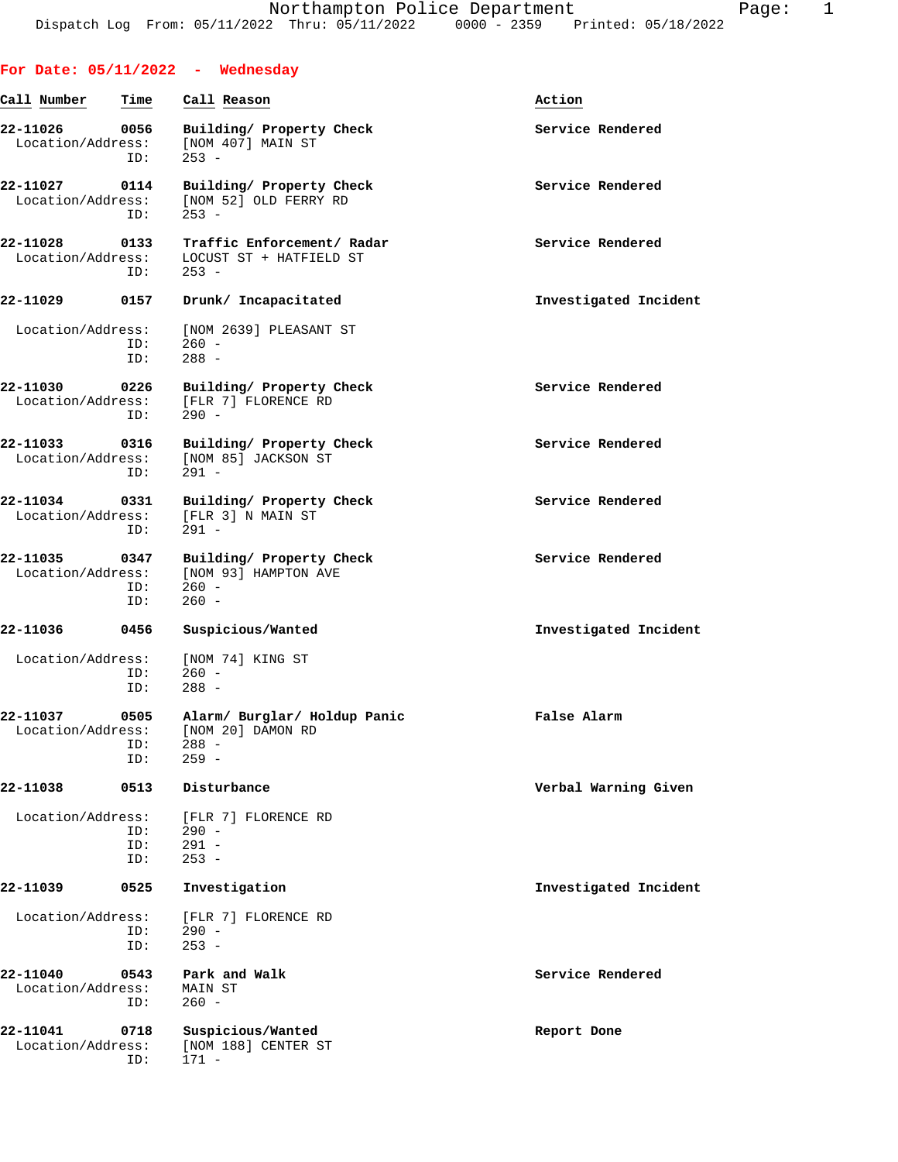|                               |                    | For Date: $05/11/2022 -$ Wednesday                                      |                       |
|-------------------------------|--------------------|-------------------------------------------------------------------------|-----------------------|
| Call Number                   | Time               | Call Reason                                                             | Action                |
| 22-11026<br>Location/Address: | 0056<br>ID:        | Building/ Property Check<br>[NOM 407] MAIN ST<br>$253 -$                | Service Rendered      |
| 22-11027<br>Location/Address: | 0114<br>ID:        | Building/ Property Check<br>[NOM 52] OLD FERRY RD<br>$253 -$            | Service Rendered      |
| 22-11028<br>Location/Address: | 0133<br>ID:        | Traffic Enforcement/ Radar<br>LOCUST ST + HATFIELD ST<br>$253 -$        | Service Rendered      |
| 22-11029                      | 0157               | Drunk/ Incapacitated                                                    | Investigated Incident |
| Location/Address:             | ID:<br>ID:         | [NOM 2639] PLEASANT ST<br>$260 -$<br>$288 -$                            |                       |
| 22-11030<br>Location/Address: | 0226<br>ID:        | Building/ Property Check<br>[FLR 7] FLORENCE RD<br>$290 -$              | Service Rendered      |
| 22-11033<br>Location/Address: | 0316<br>ID:        | Building/ Property Check<br>[NOM 85] JACKSON ST<br>$291 -$              | Service Rendered      |
| 22-11034<br>Location/Address: | 0331<br>ID:        | Building/ Property Check<br>[FLR 3] N MAIN ST<br>$291 -$                | Service Rendered      |
| 22-11035<br>Location/Address: | 0347<br>ID:<br>ID: | Building/ Property Check<br>[NOM 93] HAMPTON AVE<br>$260 -$<br>$260 -$  | Service Rendered      |
| 22-11036                      | 0456               | Suspicious/Wanted                                                       | Investigated Incident |
| Location/Address:             | ID:<br>ID:         | [NOM 74] KING ST<br>$260 -$<br>$288 -$                                  |                       |
| 22-11037<br>Location/Address: | 0505<br>ID:<br>ID: | Alarm/ Burglar/ Holdup Panic<br>[NOM 20] DAMON RD<br>$288 -$<br>$259 -$ | False Alarm           |
| 22-11038                      | 0513               | Disturbance                                                             | Verbal Warning Given  |
| Location/Address:             | ID:<br>ID:<br>ID:  | [FLR 7] FLORENCE RD<br>$290 -$<br>$291 -$<br>$253 -$                    |                       |
| 22-11039                      | 0525               | Investigation                                                           | Investigated Incident |
| Location/Address:             | ID:<br>ID:         | [FLR 7] FLORENCE RD<br>$290 -$<br>$253 -$                               |                       |
| 22-11040<br>Location/Address: | 0543<br>ID:        | Park and Walk<br>MAIN ST<br>$260 -$                                     | Service Rendered      |
| 22-11041<br>Location/Address: | 0718<br>ID:        | Suspicious/Wanted<br>[NOM 188] CENTER ST<br>$171 -$                     | Report Done           |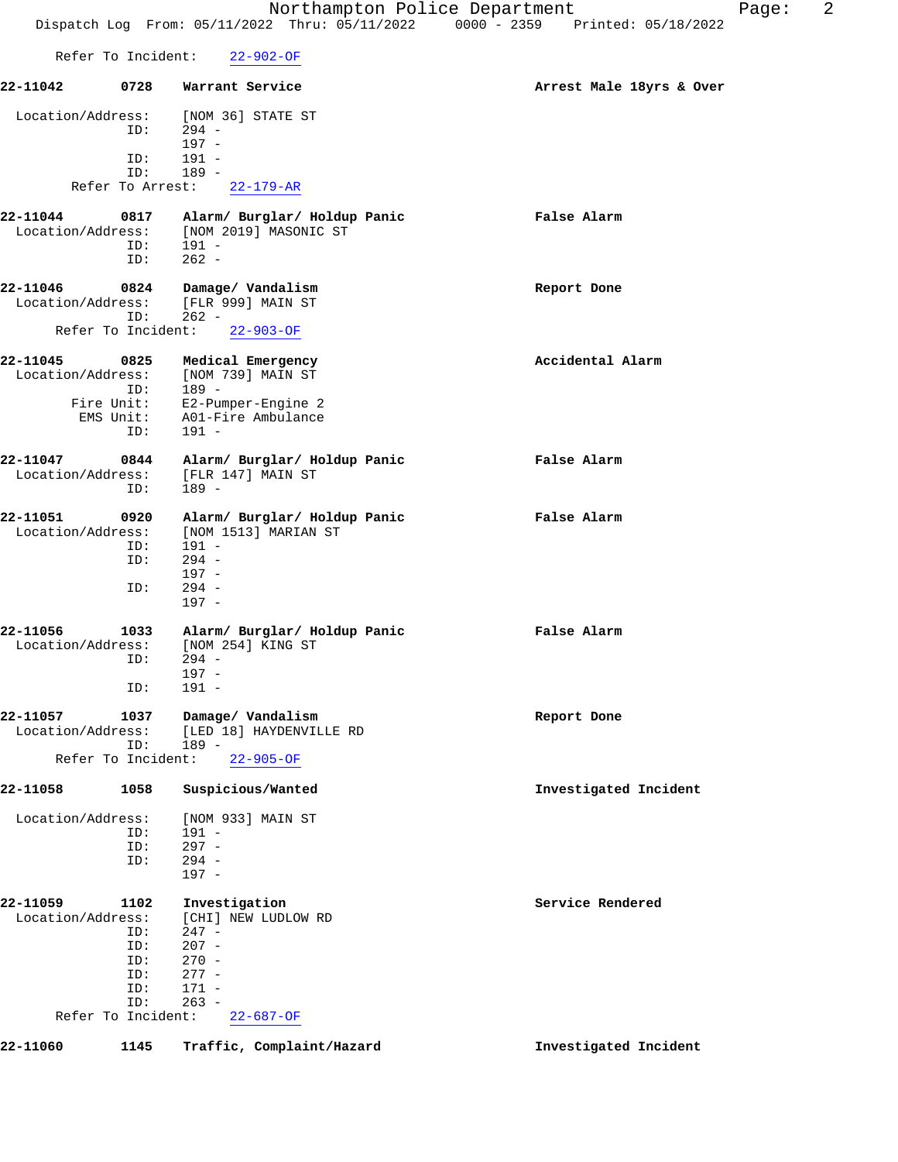|                                                                                |                                                                                                             | 2<br>Northampton Police Department<br>Page:<br>Dispatch Log From: 05/11/2022 Thru: 05/11/2022 0000 - 2359 Printed: 05/18/2022 |  |
|--------------------------------------------------------------------------------|-------------------------------------------------------------------------------------------------------------|-------------------------------------------------------------------------------------------------------------------------------|--|
| Refer To Incident:                                                             | $22 - 902 - OF$                                                                                             |                                                                                                                               |  |
| 22-11042<br>0728                                                               | Warrant Service                                                                                             | Arrest Male 18yrs & Over                                                                                                      |  |
| Location/Address:<br>ID:<br>ID:<br>ID:<br>Refer To Arrest:                     | [NOM 36] STATE ST<br>$294 -$<br>$197 -$<br>$191 -$<br>$189 -$<br>$22 - 179 - AR$                            |                                                                                                                               |  |
| 22-11044<br>0817<br>Location/Address:<br>ID:<br>ID:                            | Alarm/ Burglar/ Holdup Panic<br>[NOM 2019] MASONIC ST<br>191 -<br>$262 -$                                   | False Alarm                                                                                                                   |  |
| 22-11046<br>0824<br>Location/Address:<br>ID:<br>Refer To Incident:             | Damage/ Vandalism<br>[FLR 999] MAIN ST<br>$262 -$<br>$22 - 903 - OF$                                        | Report Done                                                                                                                   |  |
| 22-11045<br>0825<br>Location/Address:<br>ID:<br>Fire Unit:<br>EMS Unit:<br>ID: | Medical Emergency<br>[NOM 739] MAIN ST<br>$189 -$<br>E2-Pumper-Engine 2<br>A01-Fire Ambulance<br>$191 -$    | Accidental Alarm                                                                                                              |  |
| 22-11047<br>0844<br>Location/Address:<br>ID:                                   | Alarm/ Burglar/ Holdup Panic<br>[FLR 147] MAIN ST<br>189 -                                                  | False Alarm                                                                                                                   |  |
| 22-11051<br>0920<br>Location/Address:<br>ID:<br>ID:<br>ID:                     | Alarm/ Burglar/ Holdup Panic<br>[NOM 1513] MARIAN ST<br>$191 -$<br>$294 -$<br>$197 -$<br>$294 -$<br>$197 -$ | False Alarm                                                                                                                   |  |
| 1033<br>22-11056<br>Location/Address:<br>ID:<br>ID:                            | Alarm/ Burglar/ Holdup Panic<br>[NOM 254] KING ST<br>$294 -$<br>$197 -$<br>$191 -$                          | False Alarm                                                                                                                   |  |
| 22-11057<br>1037<br>Location/Address:<br>ID:<br>Refer To Incident:             | Damage/ Vandalism<br>[LED 18] HAYDENVILLE RD<br>$189 -$<br>$22 - 905 - OF$                                  | Report Done                                                                                                                   |  |
| 22-11058<br>1058                                                               | Suspicious/Wanted                                                                                           | Investigated Incident                                                                                                         |  |
| Location/Address:<br>ID:<br>ID:<br>ID:                                         | [NOM 933] MAIN ST<br>191 -<br>$297 -$<br>$294 -$<br>197 -                                                   |                                                                                                                               |  |

| 22-11059 | 1102              | Investigation                |
|----------|-------------------|------------------------------|
|          | Location/Address: | [CHI] NEW LUDLOW RD          |
|          | ID:               | $247 -$                      |
|          | ID:               | $207 -$                      |
|          | ID:               | $270 -$                      |
|          | ID:               | $277 -$                      |
|          | TD:               | $171 -$                      |
|          | ID:               | $263 -$                      |
|          |                   | Refer To Incident: 22-687-OF |

**22-11060 1145 Traffic, Complaint/Hazard Investigated Incident**

**22-11059 1102 Investigation Service Rendered**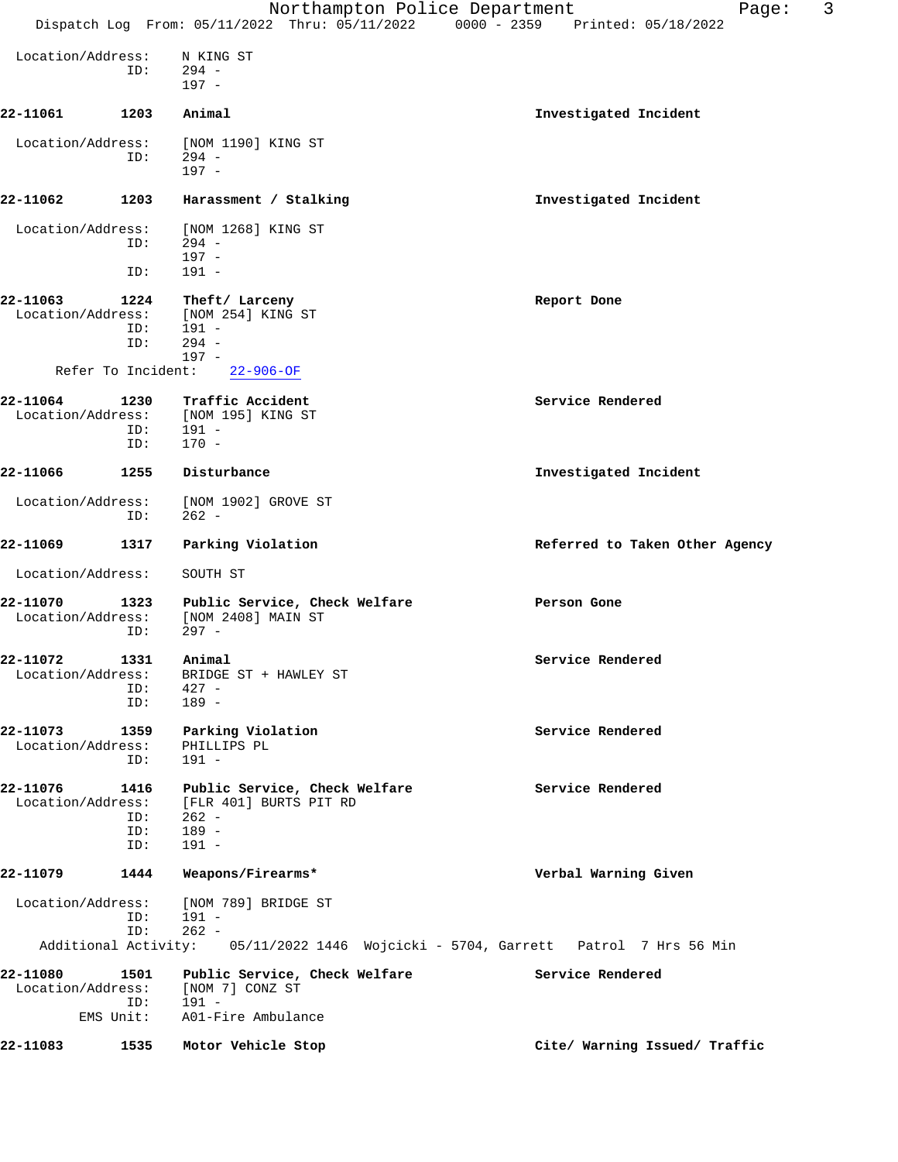|                               |                           | Northampton Police Department<br>Dispatch Log From: 05/11/2022 Thru: 05/11/2022 0000 - 2359 Printed: 05/18/2022 | 3<br>Page:                                                                        |
|-------------------------------|---------------------------|-----------------------------------------------------------------------------------------------------------------|-----------------------------------------------------------------------------------|
| Location/Address:             |                           | N KING ST                                                                                                       |                                                                                   |
|                               | ID:                       | $294 -$<br>197 -                                                                                                |                                                                                   |
| 22-11061                      | 1203                      | Animal                                                                                                          | Investigated Incident                                                             |
| Location/Address:             | ID:                       | [NOM 1190] KING ST<br>$294 -$<br>$197 -$                                                                        |                                                                                   |
| 22-11062                      | 1203                      | Harassment / Stalking                                                                                           | Investigated Incident                                                             |
| Location/Address:             | ID:                       | [NOM 1268] KING ST<br>$294 -$                                                                                   |                                                                                   |
|                               | ID:                       | $197 -$<br>191 -                                                                                                |                                                                                   |
| 22-11063<br>Location/Address: | 1224<br>ID:               | Theft/ Larceny<br>[NOM 254] KING ST<br>191 -                                                                    | Report Done                                                                       |
|                               | ID:                       | $294 -$<br>$197 -$                                                                                              |                                                                                   |
|                               | Refer To Incident:        | $22 - 906 - OF$                                                                                                 |                                                                                   |
| 22-11064<br>Location/Address: | 1230<br>ID:<br>ID:        | Traffic Accident<br>[NOM 195] KING ST<br>191 -<br>$170 -$                                                       | Service Rendered                                                                  |
| 22-11066                      | 1255                      | Disturbance                                                                                                     | Investigated Incident                                                             |
| Location/Address:             | ID:                       | [NOM 1902] GROVE ST<br>$262 -$                                                                                  |                                                                                   |
| 22-11069                      | 1317                      | Parking Violation                                                                                               | Referred to Taken Other Agency                                                    |
| Location/Address:             |                           | SOUTH ST                                                                                                        |                                                                                   |
| 22-11070<br>Location/Address: | ID:                       | 1323 Public Service, Check Welfare<br>[NOM 2408] MAIN ST<br>$297 -$                                             | Person Gone                                                                       |
| 22-11072<br>Location/Address: | 1331 Animal<br>ID:<br>ID: | BRIDGE ST + HAWLEY ST<br>$427 -$<br>$189 -$                                                                     | Service Rendered                                                                  |
| 22-11073<br>Location/Address: | 1359<br>ID:               | Parking Violation<br>PHILLIPS PL<br>$191 -$                                                                     | Service Rendered                                                                  |
| 22-11076<br>Location/Address: | 1416<br>ID:<br>ID:<br>ID: | Public Service, Check Welfare<br>[FLR 401] BURTS PIT RD<br>$262 -$<br>$189 -$<br>$191 -$                        | Service Rendered                                                                  |
| 22-11079                      | 1444                      | Weapons/Firearms*                                                                                               | Verbal Warning Given                                                              |
| Location/Address:             | ID:<br>ID:                | [NOM 789] BRIDGE ST<br>$191 -$<br>$262 -$                                                                       |                                                                                   |
|                               |                           |                                                                                                                 | Additional Activity: 05/11/2022 1446 Wojcicki - 5704, Garrett Patrol 7 Hrs 56 Min |
| 22-11080<br>Location/Address: | 1501<br>ID:<br>EMS Unit:  | Public Service, Check Welfare<br>[NOM 7] CONZ ST<br>$191 -$<br>A01-Fire Ambulance                               | Service Rendered                                                                  |
| 22-11083                      | 1535                      | Motor Vehicle Stop                                                                                              | Cite/ Warning Issued/ Traffic                                                     |
|                               |                           |                                                                                                                 |                                                                                   |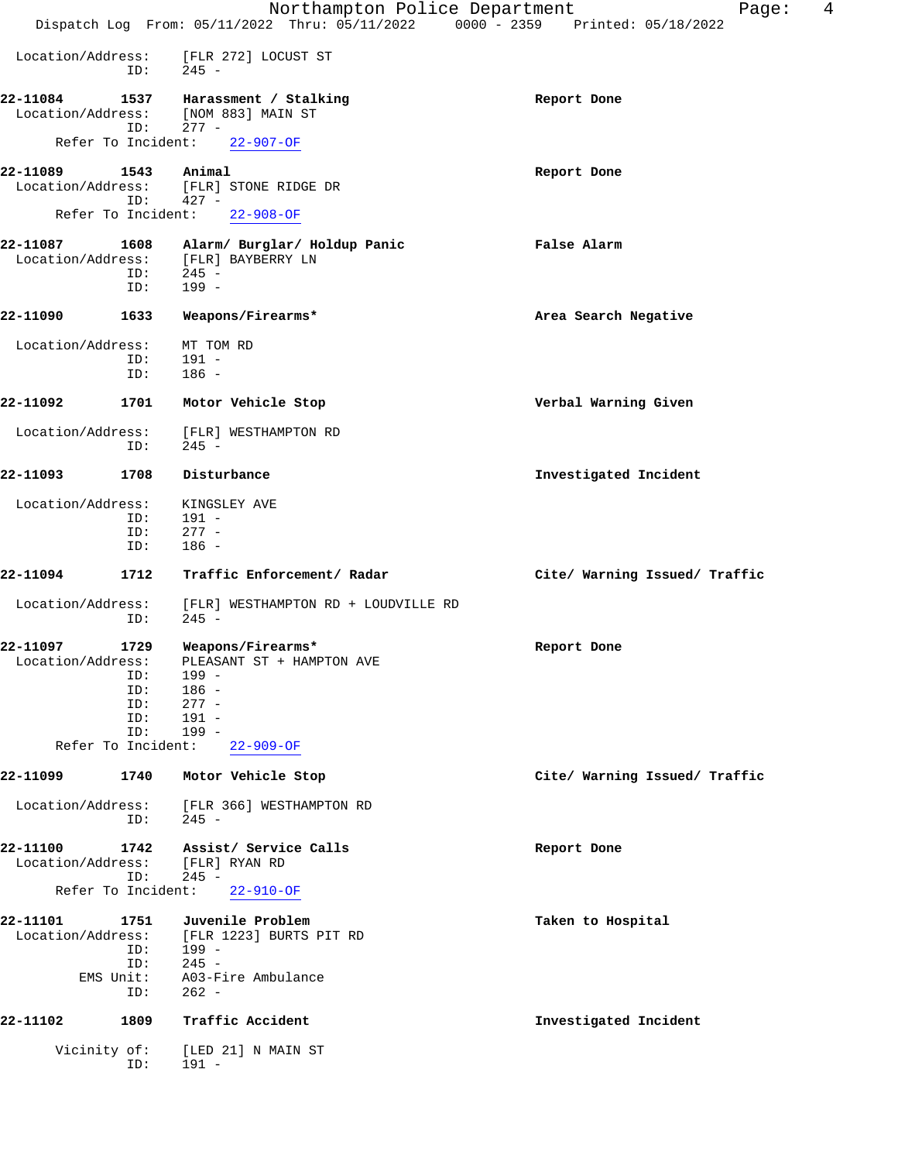|                               |                           | Northampton Police Department                                                  | 4<br>Page:                    |
|-------------------------------|---------------------------|--------------------------------------------------------------------------------|-------------------------------|
|                               |                           | Dispatch Log From: 05/11/2022 Thru: 05/11/2022 0000 - 2359 Printed: 05/18/2022 |                               |
| Location/Address:             | ID:                       | [FLR 272] LOCUST ST<br>$245 -$                                                 |                               |
| 22-11084<br>Location/Address: | 1537                      | Harassment / Stalking<br>[NOM 883] MAIN ST                                     | Report Done                   |
|                               | ID:<br>Refer To Incident: | $277 -$<br>$22 - 907 - OF$                                                     |                               |
|                               |                           |                                                                                |                               |
| 22-11089<br>Location/Address: | 1543<br>ID:               | Animal<br>[FLR] STONE RIDGE DR<br>$427 -$                                      | Report Done                   |
|                               |                           | Refer To Incident: 22-908-OF                                                   |                               |
| 22-11087<br>Location/Address: | ID:<br>ID:                | 1608 Alarm/ Burglar/ Holdup Panic<br>[FLR] BAYBERRY LN<br>$245 -$<br>$199 -$   | False Alarm                   |
|                               |                           |                                                                                |                               |
| 22-11090                      | 1633                      | Weapons/Firearms*                                                              | Area Search Negative          |
| Location/Address:             |                           | MT TOM RD                                                                      |                               |
|                               | ID:<br>ID:                | $191 -$<br>$186 -$                                                             |                               |
|                               |                           |                                                                                |                               |
| 22-11092                      | 1701                      | Motor Vehicle Stop                                                             | Verbal Warning Given          |
| Location/Address:             | ID:                       | [FLR] WESTHAMPTON RD<br>$245 -$                                                |                               |
| 22-11093                      | 1708                      | Disturbance                                                                    | Investigated Incident         |
| Location/Address:             |                           | KINGSLEY AVE                                                                   |                               |
|                               | ID:                       | $191 -$                                                                        |                               |
|                               | ID:                       | $277 -$                                                                        |                               |
|                               | ID:                       | $186 -$                                                                        |                               |
| 22-11094                      | 1712                      | Traffic Enforcement/ Radar                                                     | Cite/ Warning Issued/ Traffic |
| Location/Address:             | ID:                       | [FLR] WESTHAMPTON RD + LOUDVILLE RD<br>$245 -$                                 |                               |
| 22-11097                      | 1729                      | Weapons/Firearms*                                                              | Report Done                   |
| Location/Address:             |                           | PLEASANT ST + HAMPTON AVE<br>$199 -$                                           |                               |
|                               | ID:<br>ID:                | $186 -$                                                                        |                               |
|                               | ID:                       | $277 -$                                                                        |                               |
|                               | ID:                       | $191 -$                                                                        |                               |
|                               | ID:                       | $199 -$                                                                        |                               |
|                               | Refer To Incident:        | $22 - 909 - OF$                                                                |                               |
| 22-11099                      | 1740                      | Motor Vehicle Stop                                                             | Cite/ Warning Issued/ Traffic |
| Location/Address:             | ID:                       | [FLR 366] WESTHAMPTON RD<br>$245 -$                                            |                               |
| 22-11100<br>Location/Address: | 1742                      | Assist/ Service Calls<br>[FLR] RYAN RD                                         | Report Done                   |
|                               | ID:<br>Refer To Incident: | $245 -$<br>$22 - 910 - OF$                                                     |                               |
|                               |                           |                                                                                |                               |
| 22-11101<br>Location/Address: | 1751<br>ID:               | Juvenile Problem<br>[FLR 1223] BURTS PIT RD<br>199 -                           | Taken to Hospital             |
|                               | ID:                       | $245 -$                                                                        |                               |
|                               | EMS Unit:<br>ID:          | A03-Fire Ambulance<br>$262 -$                                                  |                               |
| 22-11102                      | 1809                      | Traffic Accident                                                               | Investigated Incident         |
|                               | Vicinity of:<br>ID:       | [LED 21] N MAIN ST<br>191 -                                                    |                               |
|                               |                           |                                                                                |                               |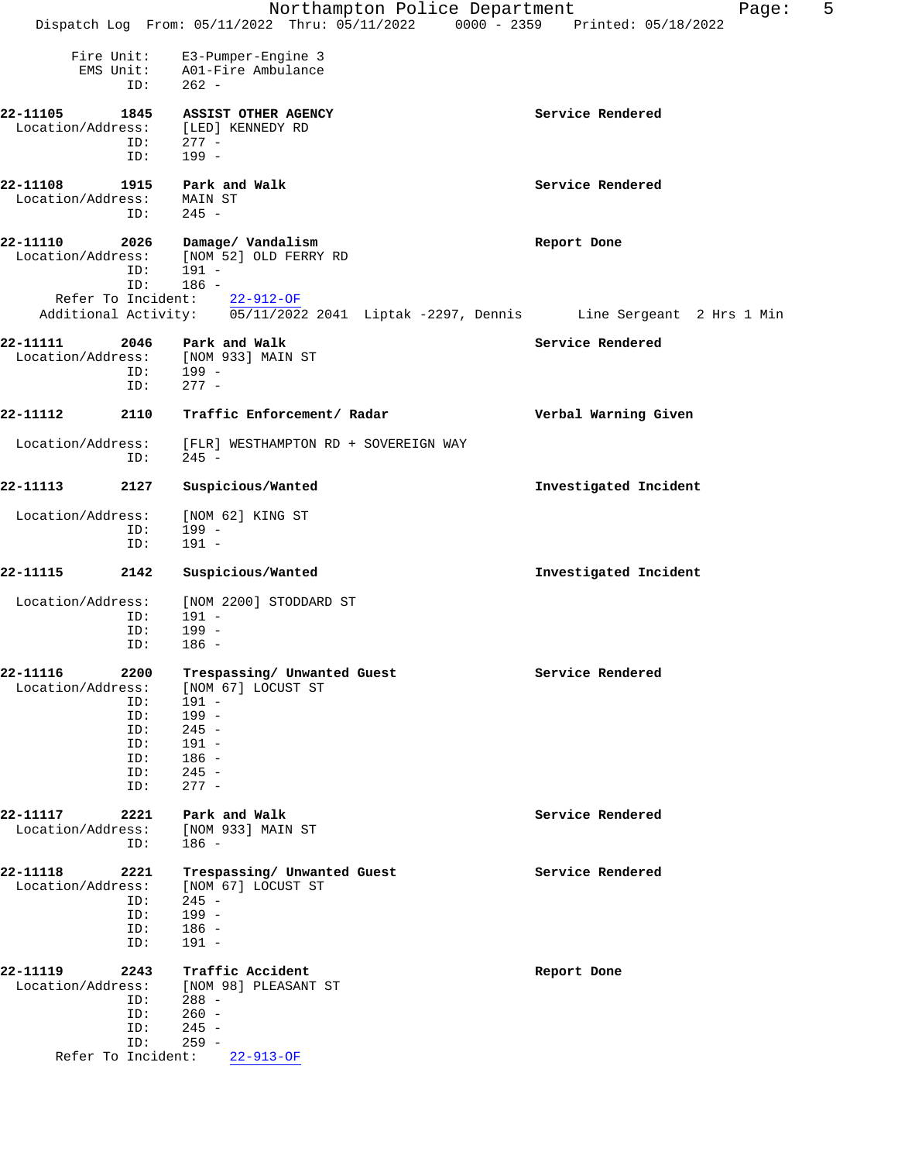|                                                                                         |                                                                                                                              | Northampton Police Department<br>5<br>Page:                                                      |
|-----------------------------------------------------------------------------------------|------------------------------------------------------------------------------------------------------------------------------|--------------------------------------------------------------------------------------------------|
|                                                                                         |                                                                                                                              | Dispatch Log From: 05/11/2022 Thru: 05/11/2022 0000 - 2359 Printed: 05/18/2022                   |
| Fire Unit:<br>ID:                                                                       | E3-Pumper-Engine 3<br>EMS Unit: A01-Fire Ambulance<br>$262 -$                                                                |                                                                                                  |
| 22-11105<br>1845<br>Location/Address:<br>ID:<br>ID:                                     | ASSIST OTHER AGENCY<br>[LED] KENNEDY RD<br>$277 -$<br>$199 -$                                                                | Service Rendered                                                                                 |
| 22-11108<br>1915<br>Location/Address:<br>ID:                                            | Park and Walk<br>MAIN ST<br>$245 -$                                                                                          | Service Rendered                                                                                 |
| 22-11110<br>2026<br>Location/Address:<br>ID:<br>ID:                                     | Damage/ Vandalism<br>[NOM 52] OLD FERRY RD<br>191 -                                                                          | Report Done                                                                                      |
|                                                                                         | 186 -<br>Refer To Incident: 22-912-OF                                                                                        | Additional Activity: $\overline{05/11/2022}$ 2041 Liptak -2297, Dennis Line Sergeant 2 Hrs 1 Min |
| 22-11111                                                                                | 2046 Park and Walk                                                                                                           | Service Rendered                                                                                 |
| ID:                                                                                     | Location/Address: [NOM 933] MAIN ST<br>ID: 199 -<br>$277 -$                                                                  |                                                                                                  |
| 22-11112<br>2110                                                                        | Traffic Enforcement/ Radar                                                                                                   | Verbal Warning Given                                                                             |
| Location/Address:<br>ID:                                                                | [FLR] WESTHAMPTON RD + SOVEREIGN WAY<br>$245 -$                                                                              |                                                                                                  |
| 22-11113<br>2127                                                                        | Suspicious/Wanted                                                                                                            | Investigated Incident                                                                            |
| Location/Address:<br>ID:<br>ID:                                                         | [NOM 62] KING ST<br>$199 -$<br>$191 -$                                                                                       |                                                                                                  |
| 22-11115<br>2142                                                                        | Suspicious/Wanted                                                                                                            | Investigated Incident                                                                            |
| Location/Address:<br>ID:<br>ID:<br>ID:                                                  | [NOM 2200] STODDARD ST<br>191 -<br>$199 -$<br>$186 -$                                                                        |                                                                                                  |
| 22-11116<br>2200<br>Location/Address:<br>ID:<br>ID:<br>ID:<br>ID:<br>ID:<br>ID:<br>ID:  | Trespassing/ Unwanted Guest<br>[NOM 67] LOCUST ST<br>$191 -$<br>$199 -$<br>$245 -$<br>191 -<br>$186 -$<br>$245 -$<br>$277 -$ | Service Rendered                                                                                 |
| 22-11117<br>2221<br>Location/Address:<br>ID:                                            | Park and Walk<br>[NOM 933] MAIN ST<br>$186 -$                                                                                | Service Rendered                                                                                 |
| 22-11118<br>2221<br>Location/Address:<br>ID:<br>ID:<br>ID:<br>ID:                       | Trespassing/ Unwanted Guest<br>[NOM 67] LOCUST ST<br>$245 -$<br>$199 -$<br>$186 -$<br>$191 -$                                | Service Rendered                                                                                 |
| 22-11119<br>2243<br>Location/Address:<br>ID:<br>ID:<br>ID:<br>ID:<br>Refer To Incident: | Traffic Accident<br>[NOM 98] PLEASANT ST<br>$288 -$<br>$260 -$<br>$245 -$<br>$259 -$<br>$22 - 913 - OF$                      | Report Done                                                                                      |